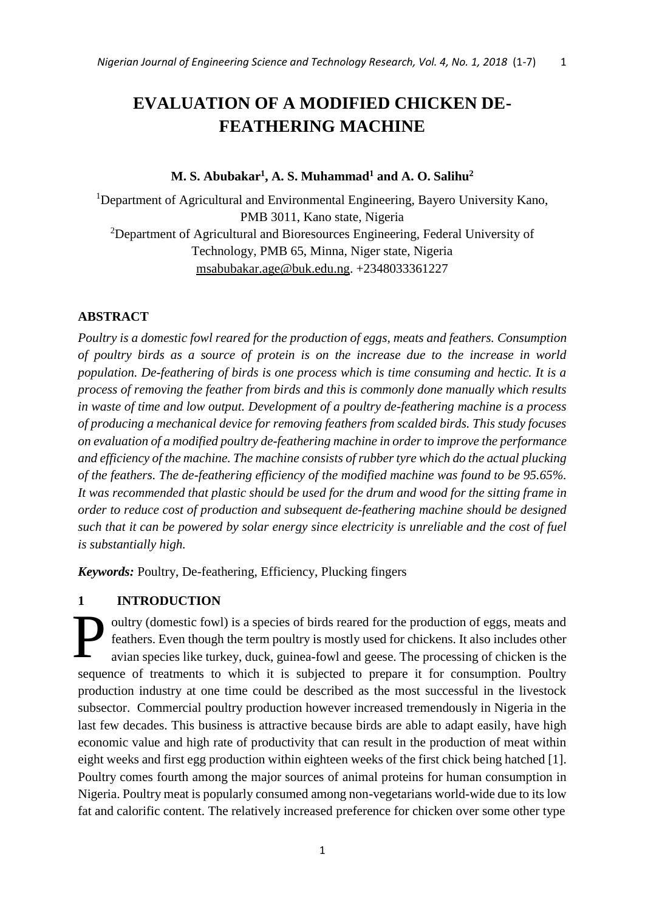# **EVALUATION OF A MODIFIED CHICKEN DE-FEATHERING MACHINE**

# **M. S. Abubakar<sup>1</sup> , A. S. Muhammad<sup>1</sup> and A. O. Salihu<sup>2</sup>**

<sup>1</sup>Department of Agricultural and Environmental Engineering, Bayero University Kano, PMB 3011, Kano state, Nigeria <sup>2</sup>Department of Agricultural and Bioresources Engineering, Federal University of Technology, PMB 65, Minna, Niger state, Nigeria [msabubakar.age@buk.edu.ng.](mailto:msabubakar.age@buk.edu.ng) +2348033361227

# **ABSTRACT**

*Poultry is a domestic fowl reared for the production of eggs, meats and feathers. Consumption of poultry birds as a source of protein is on the increase due to the increase in world population. De-feathering of birds is one process which is time consuming and hectic. It is a process of removing the feather from birds and this is commonly done manually which results in waste of time and low output. Development of a poultry de-feathering machine is a process of producing a mechanical device for removing feathers from scalded birds. This study focuses on evaluation of a modified poultry de-feathering machine in order to improve the performance and efficiency of the machine. The machine consists of rubber tyre which do the actual plucking of the feathers. The de-feathering efficiency of the modified machine was found to be 95.65%. It was recommended that plastic should be used for the drum and wood for the sitting frame in order to reduce cost of production and subsequent de-feathering machine should be designed such that it can be powered by solar energy since electricity is unreliable and the cost of fuel is substantially high.*

*Keywords:* Poultry, De-feathering, Efficiency, Plucking fingers

## **1 INTRODUCTION**

oultry (domestic fowl) is a species of birds reared for the production of eggs, meats and feathers. Even though the term poultry is mostly used for chickens. It also includes other avian species like turkey, duck, guinea-fowl and geese. The processing of chicken is the sequence of treatments to which it is subjected to prepare it for consumption. Poultry production industry at one time could be described as the most successful in the livestock subsector. Commercial poultry production however increased tremendously in Nigeria in the last few decades. This business is attractive because birds are able to adapt easily, have high economic value and high rate of productivity that can result in the production of meat within eight weeks and first egg production within eighteen weeks of the first chick being hatched [1]. Poultry comes fourth among the major sources of animal proteins for human consumption in Nigeria. Poultry meat is popularly consumed among non-vegetarians world-wide due to its low fat and calorific content. The relatively increased preference for chicken over some other type P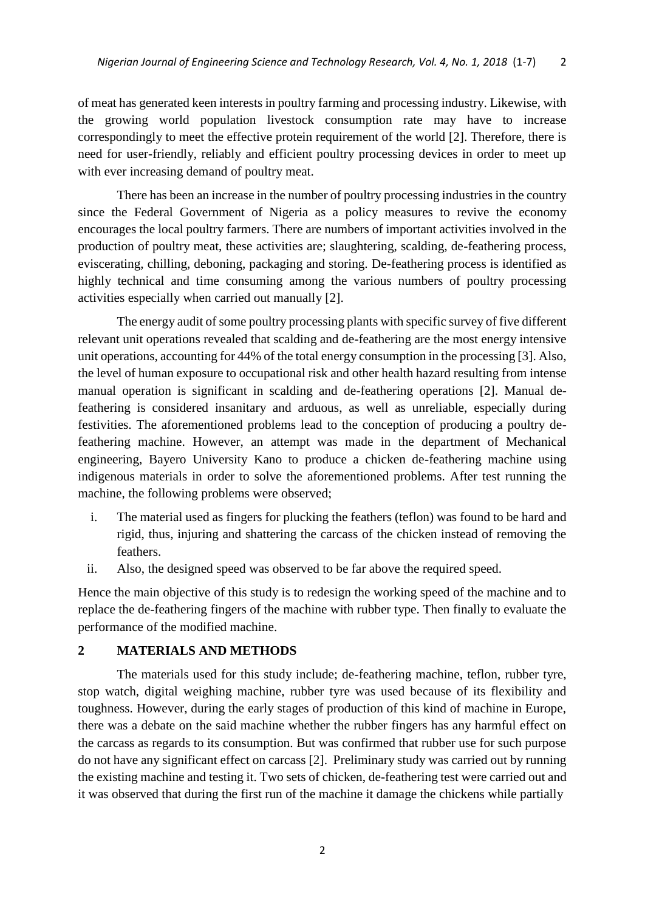of meat has generated keen interests in poultry farming and processing industry. Likewise, with the growing world population livestock consumption rate may have to increase correspondingly to meet the effective protein requirement of the world [2]. Therefore, there is need for user-friendly, reliably and efficient poultry processing devices in order to meet up with ever increasing demand of poultry meat.

There has been an increase in the number of poultry processing industries in the country since the Federal Government of Nigeria as a policy measures to revive the economy encourages the local poultry farmers. There are numbers of important activities involved in the production of poultry meat, these activities are; slaughtering, scalding, de-feathering process, eviscerating, chilling, deboning, packaging and storing. De-feathering process is identified as highly technical and time consuming among the various numbers of poultry processing activities especially when carried out manually [2].

The energy audit of some poultry processing plants with specific survey of five different relevant unit operations revealed that scalding and de-feathering are the most energy intensive unit operations, accounting for 44% of the total energy consumption in the processing [3]. Also, the level of human exposure to occupational risk and other health hazard resulting from intense manual operation is significant in scalding and de-feathering operations [2]. Manual defeathering is considered insanitary and arduous, as well as unreliable, especially during festivities. The aforementioned problems lead to the conception of producing a poultry defeathering machine. However, an attempt was made in the department of Mechanical engineering, Bayero University Kano to produce a chicken de-feathering machine using indigenous materials in order to solve the aforementioned problems. After test running the machine, the following problems were observed;

- i. The material used as fingers for plucking the feathers (teflon) was found to be hard and rigid, thus, injuring and shattering the carcass of the chicken instead of removing the feathers.
- ii. Also, the designed speed was observed to be far above the required speed.

Hence the main objective of this study is to redesign the working speed of the machine and to replace the de-feathering fingers of the machine with rubber type. Then finally to evaluate the performance of the modified machine.

## **2 MATERIALS AND METHODS**

The materials used for this study include; de-feathering machine, teflon, rubber tyre, stop watch, digital weighing machine, rubber tyre was used because of its flexibility and toughness. However, during the early stages of production of this kind of machine in Europe, there was a debate on the said machine whether the rubber fingers has any harmful effect on the carcass as regards to its consumption. But was confirmed that rubber use for such purpose do not have any significant effect on carcass [2]. Preliminary study was carried out by running the existing machine and testing it. Two sets of chicken, de-feathering test were carried out and it was observed that during the first run of the machine it damage the chickens while partially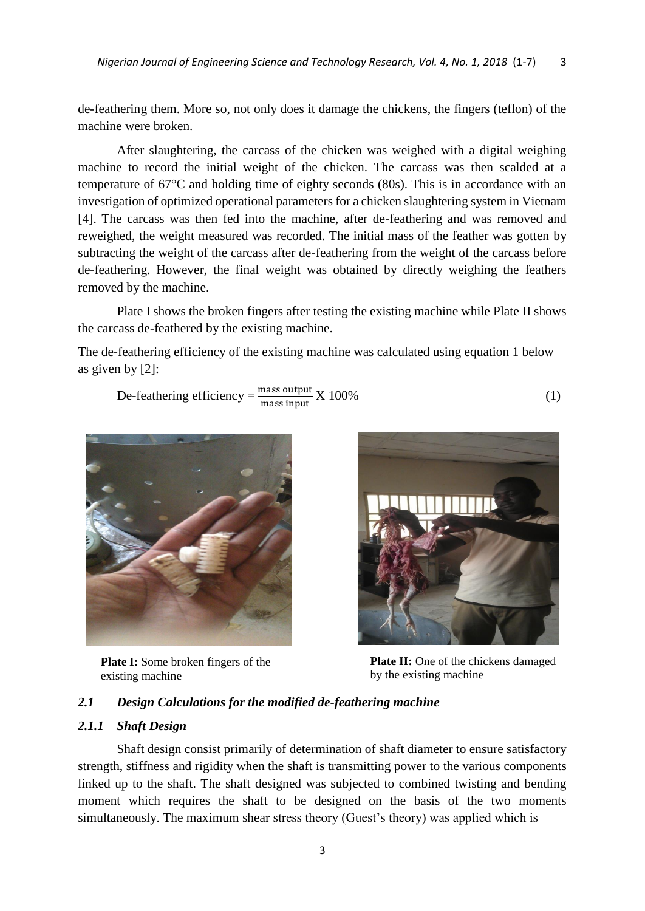de-feathering them. More so, not only does it damage the chickens, the fingers (teflon) of the machine were broken.

After slaughtering, the carcass of the chicken was weighed with a digital weighing machine to record the initial weight of the chicken. The carcass was then scalded at a temperature of 67°C and holding time of eighty seconds (80s). This is in accordance with an investigation of optimized operational parameters for a chicken slaughtering system in Vietnam [4]. The carcass was then fed into the machine, after de-feathering and was removed and reweighed, the weight measured was recorded. The initial mass of the feather was gotten by subtracting the weight of the carcass after de-feathering from the weight of the carcass before de-feathering. However, the final weight was obtained by directly weighing the feathers removed by the machine.

Plate I shows the broken fingers after testing the existing machine while Plate II shows the carcass de-feathered by the existing machine.

The de-feathering efficiency of the existing machine was calculated using equation 1 below as given by [2]:

De-feathering efficiency = 
$$
\frac{\text{mass output}}{\text{mass input}} \times 100\%
$$
 (1)



**Plate I:** Some broken fingers of the existing machine



**Plate II:** One of the chickens damaged by the existing machine

## *2.1 Design Calculations for the modified de-feathering machine*

## *2.1.1 Shaft Design*

Shaft design consist primarily of determination of shaft diameter to ensure satisfactory strength, stiffness and rigidity when the shaft is transmitting power to the various components linked up to the shaft. The shaft designed was subjected to combined twisting and bending moment which requires the shaft to be designed on the basis of the two moments simultaneously. The maximum shear stress theory (Guest's theory) was applied which is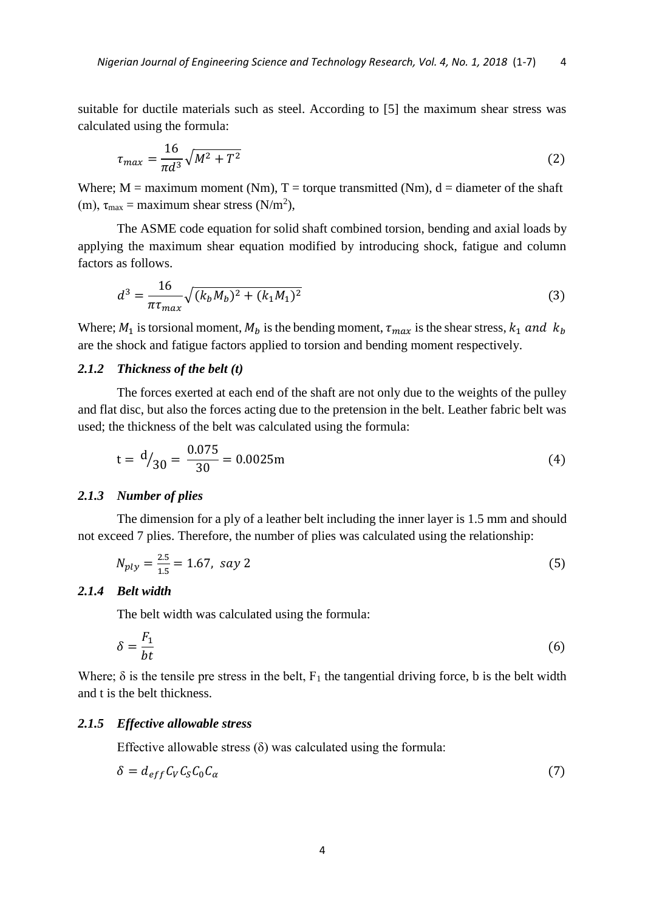suitable for ductile materials such as steel. According to [5] the maximum shear stress was calculated using the formula:

$$
\tau_{max} = \frac{16}{\pi d^3} \sqrt{M^2 + T^2} \tag{2}
$$

Where;  $M =$  maximum moment (Nm),  $T =$  torque transmitted (Nm),  $d =$  diameter of the shaft (m),  $\tau_{\text{max}} = \text{maximum shear stress (N/m}^2)$ ,

The ASME code equation for solid shaft combined torsion, bending and axial loads by applying the maximum shear equation modified by introducing shock, fatigue and column factors as follows.

$$
d^3 = \frac{16}{\pi \tau_{max}} \sqrt{(k_b M_b)^2 + (k_1 M_1)^2}
$$
 (3)

Where;  $M_1$  is torsional moment,  $M_b$  is the bending moment,  $\tau_{max}$  is the shear stress,  $k_1$  and  $k_b$ are the shock and fatigue factors applied to torsion and bending moment respectively.

## *2.1.2 Thickness of the belt (t)*

The forces exerted at each end of the shaft are not only due to the weights of the pulley and flat disc, but also the forces acting due to the pretension in the belt. Leather fabric belt was used; the thickness of the belt was calculated using the formula:

$$
t = \frac{d}{30} = \frac{0.075}{30} = 0.0025m
$$
 (4)

#### *2.1.3 Number of plies*

The dimension for a ply of a leather belt including the inner layer is 1.5 mm and should not exceed 7 plies. Therefore, the number of plies was calculated using the relationship:

$$
N_{ply} = \frac{2.5}{1.5} = 1.67, \text{ say } 2 \tag{5}
$$

## *2.1.4 Belt width*

The belt width was calculated using the formula:

$$
\delta = \frac{F_1}{bt} \tag{6}
$$

Where;  $\delta$  is the tensile pre stress in the belt,  $F_1$  the tangential driving force, b is the belt width and t is the belt thickness.

#### *2.1.5 Effective allowable stress*

Effective allowable stress  $(\delta)$  was calculated using the formula:

$$
\delta = d_{eff} C_V C_S C_0 C_\alpha \tag{7}
$$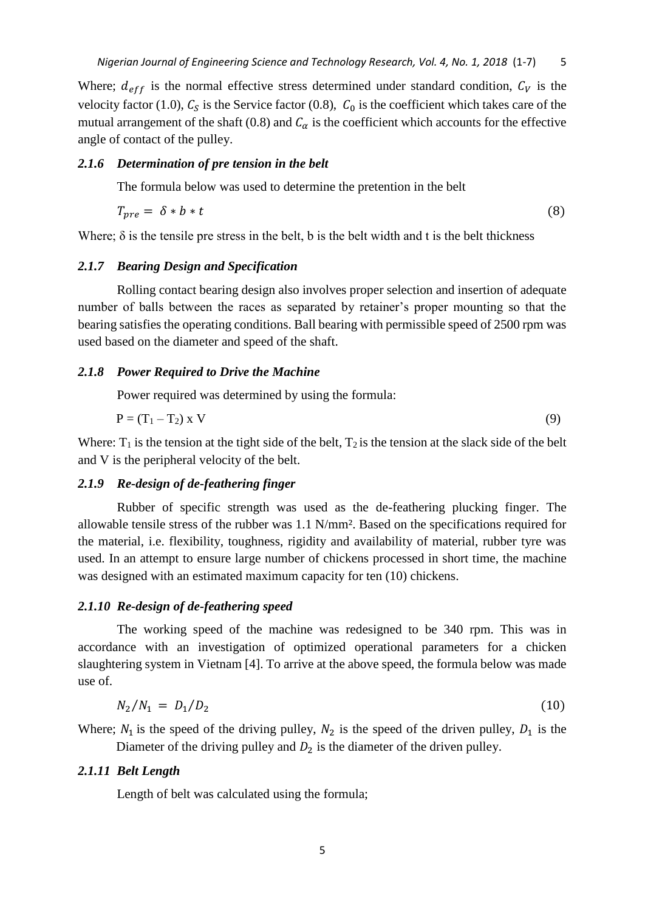Where;  $d_{eff}$  is the normal effective stress determined under standard condition,  $C_V$  is the velocity factor (1.0),  $C_s$  is the Service factor (0.8),  $C_0$  is the coefficient which takes care of the mutual arrangement of the shaft (0.8) and  $C_{\alpha}$  is the coefficient which accounts for the effective angle of contact of the pulley.

#### *2.1.6 Determination of pre tension in the belt*

The formula below was used to determine the pretention in the belt

$$
T_{pre} = \delta * b * t \tag{8}
$$

Where;  $\delta$  is the tensile pre stress in the belt, b is the belt width and t is the belt thickness

## *2.1.7 Bearing Design and Specification*

Rolling contact bearing design also involves proper selection and insertion of adequate number of balls between the races as separated by retainer's proper mounting so that the bearing satisfies the operating conditions. Ball bearing with permissible speed of 2500 rpm was used based on the diameter and speed of the shaft.

#### *2.1.8 Power Required to Drive the Machine*

Power required was determined by using the formula:

$$
P = (T_1 - T_2) \times V \tag{9}
$$

Where:  $T_1$  is the tension at the tight side of the belt,  $T_2$  is the tension at the slack side of the belt and V is the peripheral velocity of the belt.

## *2.1.9 Re-design of de-feathering finger*

Rubber of specific strength was used as the de-feathering plucking finger. The allowable tensile stress of the rubber was 1.1 N/mm². Based on the specifications required for the material, i.e. flexibility, toughness, rigidity and availability of material, rubber tyre was used. In an attempt to ensure large number of chickens processed in short time, the machine was designed with an estimated maximum capacity for ten (10) chickens.

#### *2.1.10 Re-design of de-feathering speed*

The working speed of the machine was redesigned to be 340 rpm. This was in accordance with an investigation of optimized operational parameters for a chicken slaughtering system in Vietnam [4]. To arrive at the above speed, the formula below was made use of.

$$
N_2/N_1 = D_1/D_2 \tag{10}
$$

Where;  $N_1$  is the speed of the driving pulley,  $N_2$  is the speed of the driven pulley,  $D_1$  is the Diameter of the driving pulley and  $D_2$  is the diameter of the driven pulley.

#### *2.1.11 Belt Length*

Length of belt was calculated using the formula;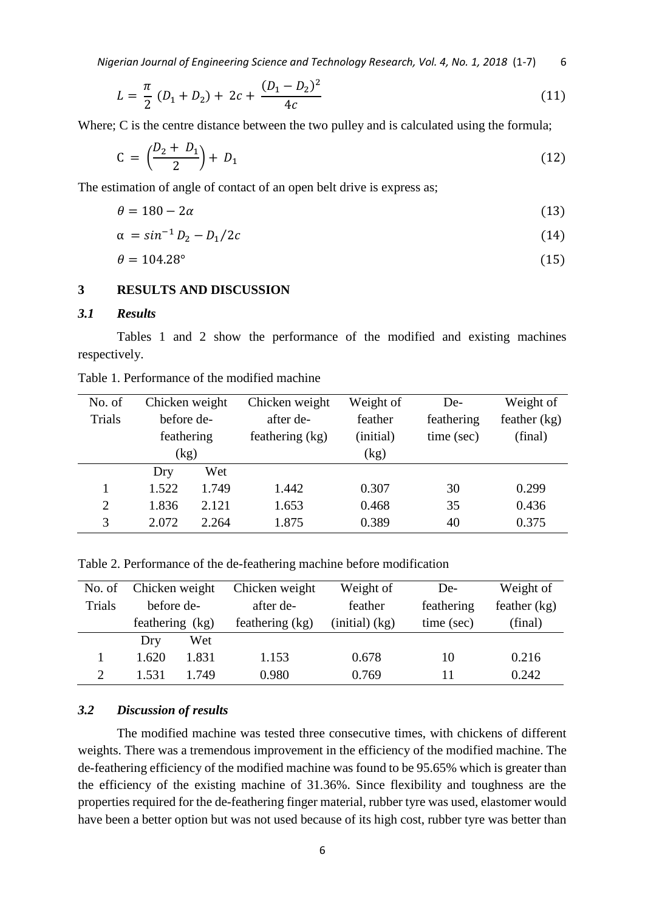*Nigerian Journal of Engineering Science and Technology Research, Vol. 4, No. 1, 2018* (1-7) 6

$$
L = \frac{\pi}{2} (D_1 + D_2) + 2c + \frac{(D_1 - D_2)^2}{4c}
$$
 (11)

Where; C is the centre distance between the two pulley and is calculated using the formula;

$$
C = \left(\frac{D_2 + D_1}{2}\right) + D_1 \tag{12}
$$

The estimation of angle of contact of an open belt drive is express as;

$$
\theta = 180 - 2\alpha \tag{13}
$$

$$
\alpha = \sin^{-1} D_2 - D_1 / 2c \tag{14}
$$

$$
\theta = 104.28^{\circ} \tag{15}
$$

## **3 RESULTS AND DISCUSSION**

#### *3.1 Results*

Tables 1 and 2 show the performance of the modified and existing machines respectively.

| No. of         | Chicken weight |       | Chicken weight  | Weight of | De-        | Weight of      |
|----------------|----------------|-------|-----------------|-----------|------------|----------------|
| Trials         | before de-     |       | after de-       | feather   | feathering | feather $(kg)$ |
|                | feathering     |       | feathering (kg) | (initial) | time (sec) | (final)        |
|                | (kg)           |       |                 | (kg)      |            |                |
|                | Dry            | Wet   |                 |           |            |                |
|                | 1.522          | 1.749 | 1.442           | 0.307     | 30         | 0.299          |
| $\overline{2}$ | 1.836          | 2.121 | 1.653           | 0.468     | 35         | 0.436          |
| 3              | 2.072          | 2.264 | 1.875           | 0.389     | 40         | 0.375          |
|                |                |       |                 |           |            |                |

Table 1. Performance of the modified machine

Table 2. Performance of the de-feathering machine before modification

| No. of        | Chicken weight  |       | Chicken weight  | Weight of            | De-        | Weight of      |
|---------------|-----------------|-------|-----------------|----------------------|------------|----------------|
| Trials        | before de-      |       | after de-       | feather              | feathering | feather $(kg)$ |
|               | feathering (kg) |       | feathering (kg) | $(i$ nitial $)$ (kg) | time (sec) | (final)        |
|               | Dry             | Wet   |                 |                      |            |                |
|               | 1.620           | 1.831 | 1.153           | 0.678                | 10         | 0.216          |
| $\mathcal{D}$ | 1.531           | 1.749 | 0.980           | 0.769                |            | 0.242          |

## *3.2 Discussion of results*

The modified machine was tested three consecutive times, with chickens of different weights. There was a tremendous improvement in the efficiency of the modified machine. The de-feathering efficiency of the modified machine was found to be 95.65% which is greater than the efficiency of the existing machine of 31.36%. Since flexibility and toughness are the properties required for the de-feathering finger material, rubber tyre was used, elastomer would have been a better option but was not used because of its high cost, rubber tyre was better than